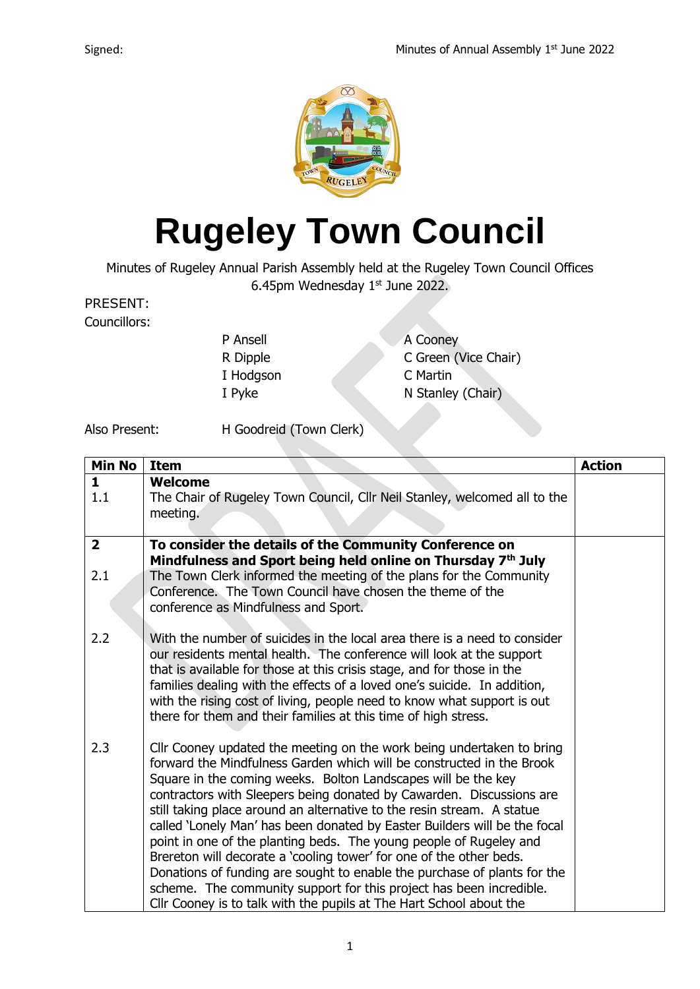

## **Rugeley Town Council**

Minutes of Rugeley Annual Parish Assembly held at the Rugeley Town Council Offices 6.45pm Wednesday  $1<sup>st</sup>$  June 2022.

PRESENT:

Councillors:

| P Ansell  | A Cooney             |
|-----------|----------------------|
| R Dipple  | C Green (Vice Chair) |
| I Hodgson | C Martin             |
| I Pyke    | N Stanley (Chair)    |
|           |                      |

Also Present: H Goodreid (Town Clerk)

| <b>Min No</b>  | <b>Item</b>                                                                                                                           | <b>Action</b> |
|----------------|---------------------------------------------------------------------------------------------------------------------------------------|---------------|
| $\mathbf{1}$   | <b>Welcome</b>                                                                                                                        |               |
| 1.1            | The Chair of Rugeley Town Council, Cllr Neil Stanley, welcomed all to the                                                             |               |
|                | meeting.                                                                                                                              |               |
|                |                                                                                                                                       |               |
| $\overline{2}$ | To consider the details of the Community Conference on                                                                                |               |
|                | Mindfulness and Sport being held online on Thursday 7th July                                                                          |               |
| 2.1            | The Town Clerk informed the meeting of the plans for the Community                                                                    |               |
|                | Conference. The Town Council have chosen the theme of the                                                                             |               |
|                | conference as Mindfulness and Sport.                                                                                                  |               |
| 2.2            | With the number of suicides in the local area there is a need to consider                                                             |               |
|                | our residents mental health. The conference will look at the support                                                                  |               |
|                | that is available for those at this crisis stage, and for those in the                                                                |               |
|                | families dealing with the effects of a loved one's suicide. In addition,                                                              |               |
|                | with the rising cost of living, people need to know what support is out                                                               |               |
|                | there for them and their families at this time of high stress.                                                                        |               |
|                |                                                                                                                                       |               |
| 2.3            | Cllr Cooney updated the meeting on the work being undertaken to bring                                                                 |               |
|                | forward the Mindfulness Garden which will be constructed in the Brook                                                                 |               |
|                | Square in the coming weeks. Bolton Landscapes will be the key<br>contractors with Sleepers being donated by Cawarden. Discussions are |               |
|                | still taking place around an alternative to the resin stream. A statue                                                                |               |
|                | called 'Lonely Man' has been donated by Easter Builders will be the focal                                                             |               |
|                | point in one of the planting beds. The young people of Rugeley and                                                                    |               |
|                | Brereton will decorate a 'cooling tower' for one of the other beds.                                                                   |               |
|                | Donations of funding are sought to enable the purchase of plants for the                                                              |               |
|                | scheme. The community support for this project has been incredible.                                                                   |               |
|                | Cllr Cooney is to talk with the pupils at The Hart School about the                                                                   |               |